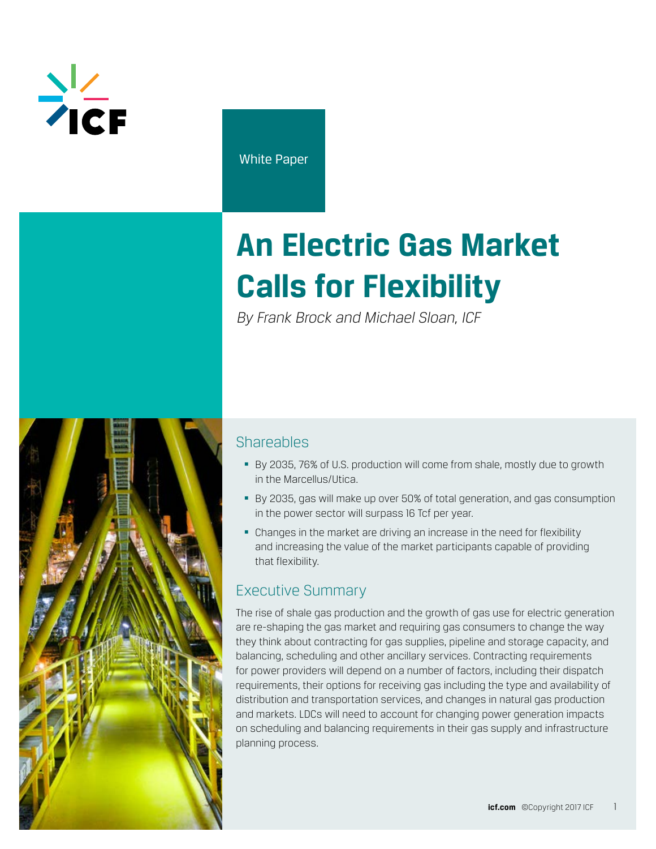

White Paper

# **An Electric Gas Market Calls for Flexibility**

*By Frank Brock and Michael Sloan, ICF*



## **Shareables**

- By 2035, 76% of U.S. production will come from shale, mostly due to growth in the Marcellus/Utica.
- By 2035, gas will make up over 50% of total generation, and gas consumption in the power sector will surpass 16 Tcf per year.
- Changes in the market are driving an increase in the need for flexibility and increasing the value of the market participants capable of providing that flexibility.

# Executive Summary

The rise of shale gas production and the growth of gas use for electric generation are re-shaping the gas market and requiring gas consumers to change the way they think about contracting for gas supplies, pipeline and storage capacity, and balancing, scheduling and other ancillary services. Contracting requirements for power providers will depend on a number of factors, including their dispatch requirements, their options for receiving gas including the type and availability of distribution and transportation services, and changes in natural gas production and markets. LDCs will need to account for changing power generation impacts on scheduling and balancing requirements in their gas supply and infrastructure planning process.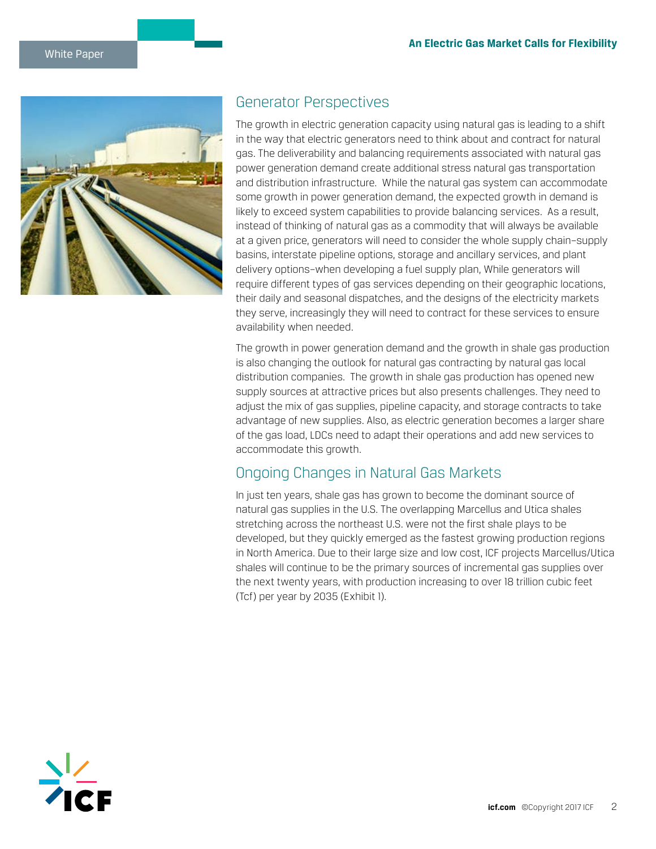

## Generator Perspectives

The growth in electric generation capacity using natural gas is leading to a shift in the way that electric generators need to think about and contract for natural gas. The deliverability and balancing requirements associated with natural gas power generation demand create additional stress natural gas transportation and distribution infrastructure. While the natural gas system can accommodate some growth in power generation demand, the expected growth in demand is likely to exceed system capabilities to provide balancing services. As a result, instead of thinking of natural gas as a commodity that will always be available at a given price, generators will need to consider the whole supply chain–supply basins, interstate pipeline options, storage and ancillary services, and plant delivery options–when developing a fuel supply plan, While generators will require different types of gas services depending on their geographic locations, their daily and seasonal dispatches, and the designs of the electricity markets they serve, increasingly they will need to contract for these services to ensure availability when needed.

The growth in power generation demand and the growth in shale gas production is also changing the outlook for natural gas contracting by natural gas local distribution companies. The growth in shale gas production has opened new supply sources at attractive prices but also presents challenges. They need to adjust the mix of gas supplies, pipeline capacity, and storage contracts to take advantage of new supplies. Also, as electric generation becomes a larger share of the gas load, LDCs need to adapt their operations and add new services to accommodate this growth.

## Ongoing Changes in Natural Gas Markets

In just ten years, shale gas has grown to become the dominant source of natural gas supplies in the U.S. The overlapping Marcellus and Utica shales stretching across the northeast U.S. were not the first shale plays to be developed, but they quickly emerged as the fastest growing production regions in North America. Due to their large size and low cost, ICF projects Marcellus/Utica shales will continue to be the primary sources of incremental gas supplies over the next twenty years, with production increasing to over 18 trillion cubic feet (Tcf) per year by 2035 (Exhibit 1).

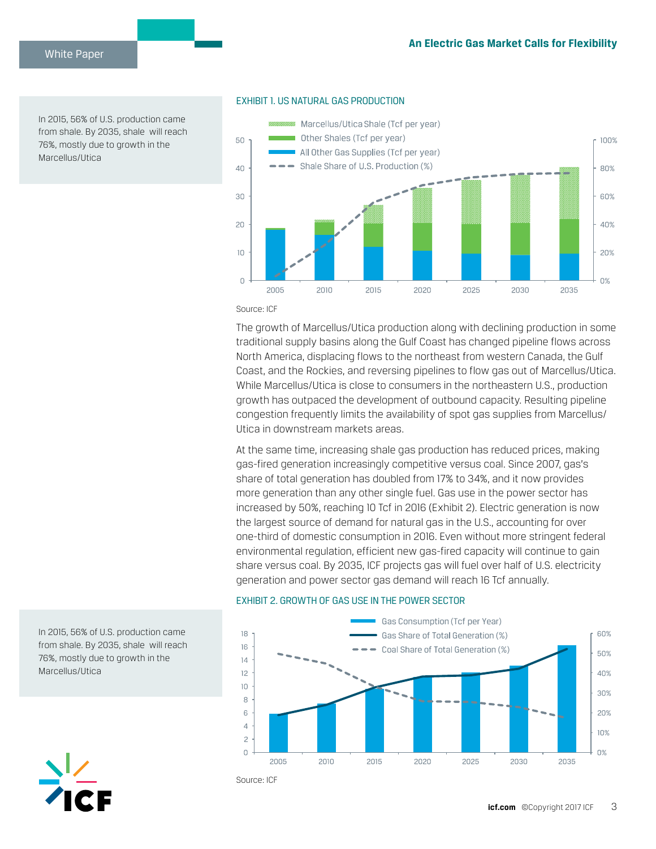In 2015, 56% of U.S. production came from shale. By 2035, shale will reach 76%, mostly due to growth in the Marcellus/Utica



## EXHIBIT 1. US NATURAL GAS PRODUCTION

Source: ICF

The growth of Marcellus/Utica production along with declining production in some traditional supply basins along the Gulf Coast has changed pipeline flows across North America, displacing flows to the northeast from western Canada, the Gulf Coast, and the Rockies, and reversing pipelines to flow gas out of Marcellus/Utica. While Marcellus/Utica is close to consumers in the northeastern U.S., production growth has outpaced the development of outbound capacity. Resulting pipeline congestion frequently limits the availability of spot gas supplies from Marcellus/ Utica in downstream markets areas.

At the same time, increasing shale gas production has reduced prices, making gas-fired generation increasingly competitive versus coal. Since 2007, gas's share of total generation has doubled from 17% to 34%, and it now provides more generation than any other single fuel. Gas use in the power sector has increased by 50%, reaching 10 Tcf in 2016 (Exhibit 2). Electric generation is now the largest source of demand for natural gas in the U.S., accounting for over one-third of domestic consumption in 2016. Even without more stringent federal environmental regulation, efficient new gas-fired capacity will continue to gain share versus coal. By 2035, ICF projects gas will fuel over half of U.S. electricity generation and power sector gas demand will reach 16 Tcf annually.

#### EXHIBIT 2. GROWTH OF GAS USE IN THE POWER SECTOR



Source: ICF

In 2015, 56% of U.S. production came from shale. By 2035, shale will reach 76%, mostly due to growth in the Marcellus/Utica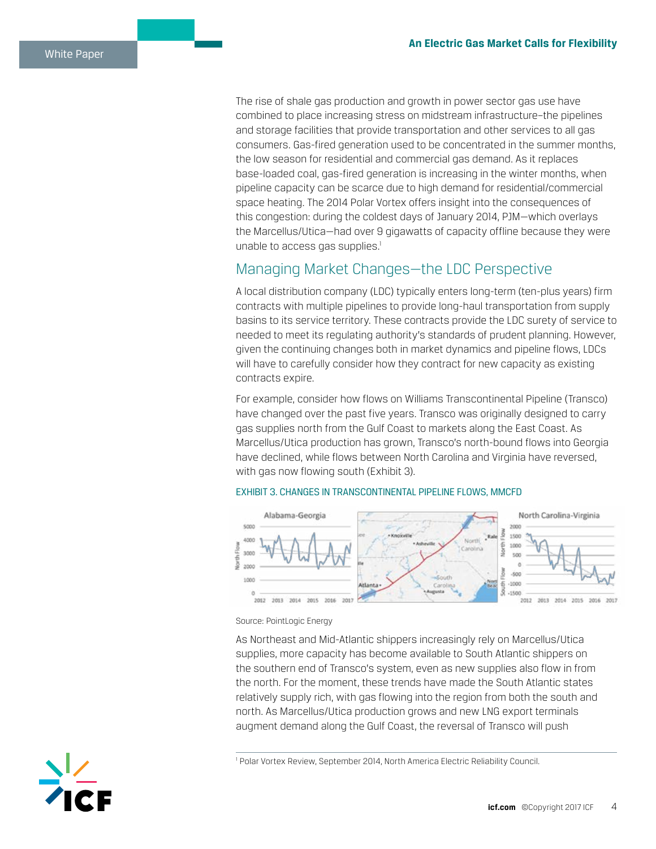The rise of shale gas production and growth in power sector gas use have combined to place increasing stress on midstream infrastructure–the pipelines and storage facilities that provide transportation and other services to all gas consumers. Gas-fired generation used to be concentrated in the summer months, the low season for residential and commercial gas demand. As it replaces base-loaded coal, gas-fired generation is increasing in the winter months, when pipeline capacity can be scarce due to high demand for residential/commercial space heating. The 2014 Polar Vortex offers insight into the consequences of this congestion: during the coldest days of January 2014, PJM—which overlays the Marcellus/Utica—had over 9 gigawatts of capacity offline because they were unable to access gas supplies.<sup>1</sup>

## Managing Market Changes—the LDC Perspective

A local distribution company (LDC) typically enters long-term (ten-plus years) firm contracts with multiple pipelines to provide long-haul transportation from supply basins to its service territory. These contracts provide the LDC surety of service to needed to meet its regulating authority's standards of prudent planning. However, given the continuing changes both in market dynamics and pipeline flows, LDCs will have to carefully consider how they contract for new capacity as existing contracts expire.

For example, consider how flows on Williams Transcontinental Pipeline (Transco) have changed over the past five years. Transco was originally designed to carry gas supplies north from the Gulf Coast to markets along the East Coast. As Marcellus/Utica production has grown, Transco's north-bound flows into Georgia have declined, while flows between North Carolina and Virginia have reversed, with gas now flowing south (Exhibit 3).



## EXHIBIT 3. CHANGES IN TRANSCONTINENTAL PIPELINE FLOWS, MMCFD

Source: PointLogic Energy

As Northeast and Mid-Atlantic shippers increasingly rely on Marcellus/Utica supplies, more capacity has become available to South Atlantic shippers on the southern end of Transco's system, even as new supplies also flow in from the north. For the moment, these trends have made the South Atlantic states relatively supply rich, with gas flowing into the region from both the south and north. As Marcellus/Utica production grows and new LNG export terminals augment demand along the Gulf Coast, the reversal of Transco will push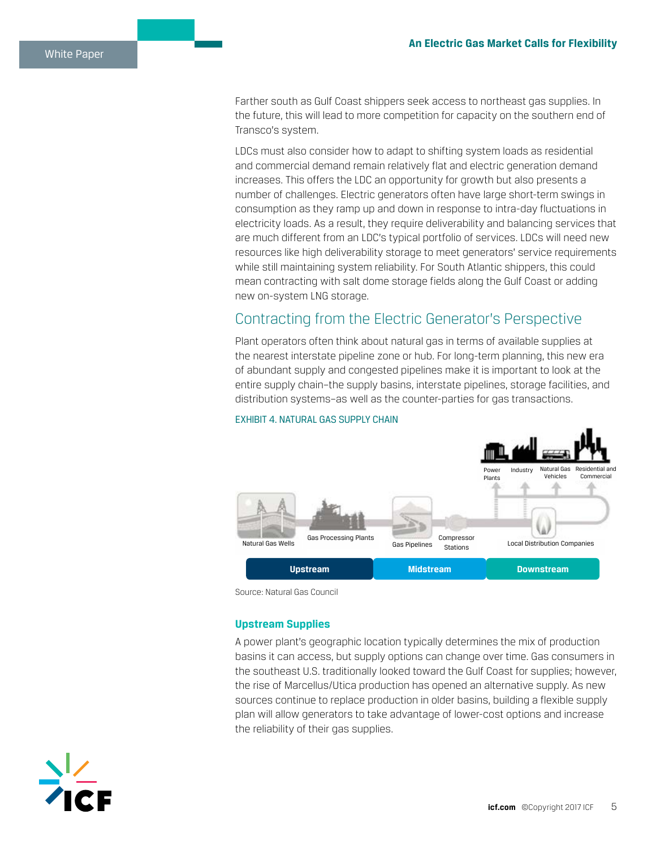Farther south as Gulf Coast shippers seek access to northeast gas supplies. In the future, this will lead to more competition for capacity on the southern end of Transco's system.

LDCs must also consider how to adapt to shifting system loads as residential and commercial demand remain relatively flat and electric generation demand increases. This offers the LDC an opportunity for growth but also presents a number of challenges. Electric generators often have large short-term swings in consumption as they ramp up and down in response to intra-day fluctuations in electricity loads. As a result, they require deliverability and balancing services that are much different from an LDC's typical portfolio of services. LDCs will need new resources like high deliverability storage to meet generators' service requirements while still maintaining system reliability. For South Atlantic shippers, this could mean contracting with salt dome storage fields along the Gulf Coast or adding new on-system LNG storage.

## Contracting from the Electric Generator's Perspective

Plant operators often think about natural gas in terms of available supplies at the nearest interstate pipeline zone or hub. For long-term planning, this new era of abundant supply and congested pipelines make it is important to look at the entire supply chain–the supply basins, interstate pipelines, storage facilities, and distribution systems–as well as the counter-parties for gas transactions.



#### EXHIBIT 4. NATURAL GAS SUPPLY CHAIN

Source: Natural Gas Council

## **Upstream Supplies**

A power plant's geographic location typically determines the mix of production basins it can access, but supply options can change over time. Gas consumers in the southeast U.S. traditionally looked toward the Gulf Coast for supplies; however, the rise of Marcellus/Utica production has opened an alternative supply. As new sources continue to replace production in older basins, building a flexible supply plan will allow generators to take advantage of lower-cost options and increase the reliability of their gas supplies.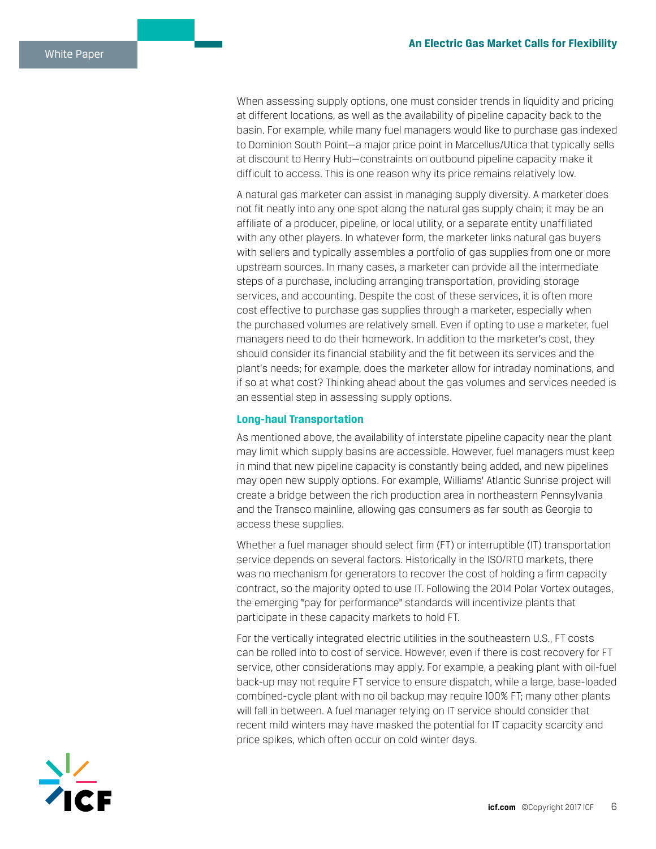When assessing supply options, one must consider trends in liquidity and pricing at different locations, as well as the availability of pipeline capacity back to the basin. For example, while many fuel managers would like to purchase gas indexed to Dominion South Point—a major price point in Marcellus/Utica that typically sells at discount to Henry Hub—constraints on outbound pipeline capacity make it difficult to access. This is one reason why its price remains relatively low.

A natural gas marketer can assist in managing supply diversity. A marketer does not fit neatly into any one spot along the natural gas supply chain; it may be an affiliate of a producer, pipeline, or local utility, or a separate entity unaffiliated with any other players. In whatever form, the marketer links natural gas buyers with sellers and typically assembles a portfolio of gas supplies from one or more upstream sources. In many cases, a marketer can provide all the intermediate steps of a purchase, including arranging transportation, providing storage services, and accounting. Despite the cost of these services, it is often more cost effective to purchase gas supplies through a marketer, especially when the purchased volumes are relatively small. Even if opting to use a marketer, fuel managers need to do their homework. In addition to the marketer's cost, they should consider its financial stability and the fit between its services and the plant's needs; for example, does the marketer allow for intraday nominations, and if so at what cost? Thinking ahead about the gas volumes and services needed is an essential step in assessing supply options.

#### **Long-haul Transportation**

As mentioned above, the availability of interstate pipeline capacity near the plant may limit which supply basins are accessible. However, fuel managers must keep in mind that new pipeline capacity is constantly being added, and new pipelines may open new supply options. For example, Williams' Atlantic Sunrise project will create a bridge between the rich production area in northeastern Pennsylvania and the Transco mainline, allowing gas consumers as far south as Georgia to access these supplies.

Whether a fuel manager should select firm (FT) or interruptible (IT) transportation service depends on several factors. Historically in the ISO/RTO markets, there was no mechanism for generators to recover the cost of holding a firm capacity contract, so the majority opted to use IT. Following the 2014 Polar Vortex outages, the emerging "pay for performance" standards will incentivize plants that participate in these capacity markets to hold FT.

For the vertically integrated electric utilities in the southeastern U.S., FT costs can be rolled into to cost of service. However, even if there is cost recovery for FT service, other considerations may apply. For example, a peaking plant with oil-fuel back-up may not require FT service to ensure dispatch, while a large, base-loaded combined-cycle plant with no oil backup may require 100% FT; many other plants will fall in between. A fuel manager relying on IT service should consider that recent mild winters may have masked the potential for IT capacity scarcity and price spikes, which often occur on cold winter days.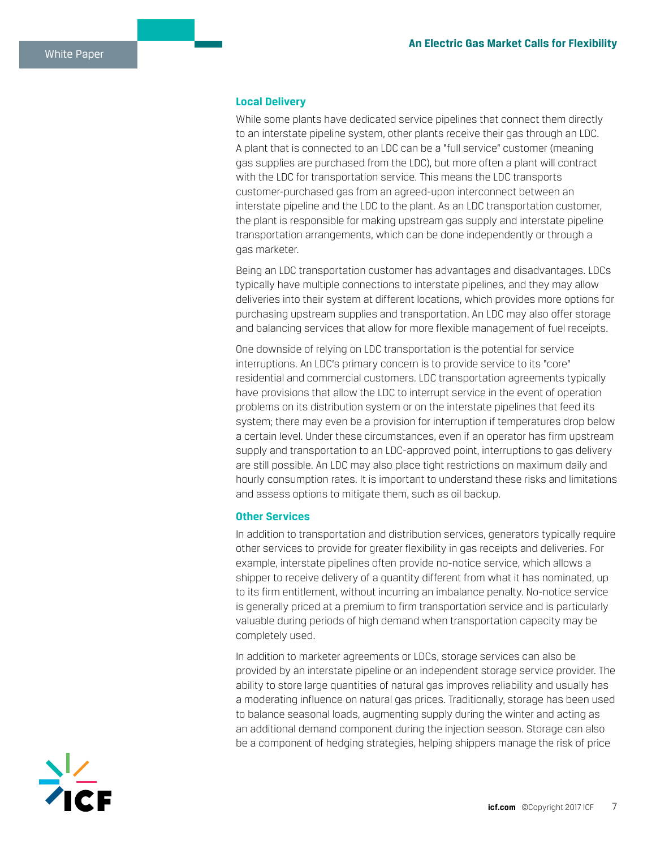#### **Local Delivery**

While some plants have dedicated service pipelines that connect them directly to an interstate pipeline system, other plants receive their gas through an LDC. A plant that is connected to an LDC can be a "full service" customer (meaning gas supplies are purchased from the LDC), but more often a plant will contract with the LDC for transportation service. This means the LDC transports customer-purchased gas from an agreed-upon interconnect between an interstate pipeline and the LDC to the plant. As an LDC transportation customer, the plant is responsible for making upstream gas supply and interstate pipeline transportation arrangements, which can be done independently or through a gas marketer.

Being an LDC transportation customer has advantages and disadvantages. LDCs typically have multiple connections to interstate pipelines, and they may allow deliveries into their system at different locations, which provides more options for purchasing upstream supplies and transportation. An LDC may also offer storage and balancing services that allow for more flexible management of fuel receipts.

One downside of relying on LDC transportation is the potential for service interruptions. An LDC's primary concern is to provide service to its "core" residential and commercial customers. LDC transportation agreements typically have provisions that allow the LDC to interrupt service in the event of operation problems on its distribution system or on the interstate pipelines that feed its system; there may even be a provision for interruption if temperatures drop below a certain level. Under these circumstances, even if an operator has firm upstream supply and transportation to an LDC-approved point, interruptions to gas delivery are still possible. An LDC may also place tight restrictions on maximum daily and hourly consumption rates. It is important to understand these risks and limitations and assess options to mitigate them, such as oil backup.

#### **Other Services**

In addition to transportation and distribution services, generators typically require other services to provide for greater flexibility in gas receipts and deliveries. For example, interstate pipelines often provide no-notice service, which allows a shipper to receive delivery of a quantity different from what it has nominated, up to its firm entitlement, without incurring an imbalance penalty. No-notice service is generally priced at a premium to firm transportation service and is particularly valuable during periods of high demand when transportation capacity may be completely used.

In addition to marketer agreements or LDCs, storage services can also be provided by an interstate pipeline or an independent storage service provider. The ability to store large quantities of natural gas improves reliability and usually has a moderating influence on natural gas prices. Traditionally, storage has been used to balance seasonal loads, augmenting supply during the winter and acting as an additional demand component during the injection season. Storage can also be a component of hedging strategies, helping shippers manage the risk of price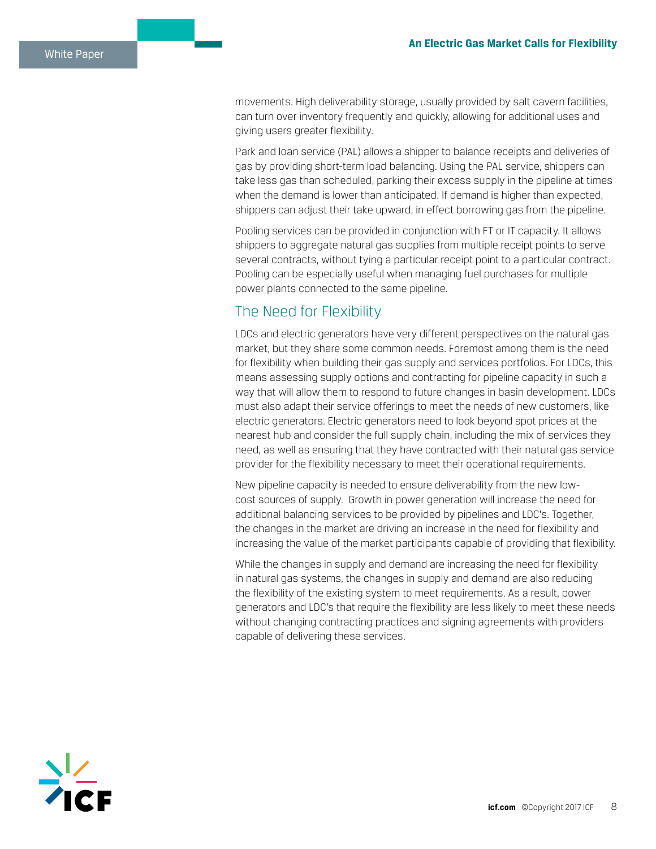movements. High deliverability storage, usually provided by salt cavern facilities, can turn over inventory frequently and quickly, allowing for additional uses and giving users greater flexibility.

Park and loan service (PAL) allows a shipper to balance receipts and deliveries of gas by providing short-term load balancing. Using the PAL service, shippers can take less gas than scheduled, parking their excess supply in the pipeline at times when the demand is lower than anticipated. If demand is higher than expected, shippers can adjust their take upward, in effect borrowing gas from the pipeline.

Pooling services can be provided in conjunction with FT or IT capacity. It allows shippers to aggregate natural gas supplies from multiple receipt points to serve several contracts, without tying a particular receipt point to a particular contract. Pooling can be especially useful when managing fuel purchases for multiple power plants connected to the same pipeline.

## The Need for Flexibility

LDCs and electric generators have very different perspectives on the natural gas market, but they share some common needs. Foremost among them is the need for flexibility when building their gas supply and services portfolios. For LDCs, this means assessing supply options and contracting for pipeline capacity in such a way that will allow them to respond to future changes in basin development. LDCs must also adapt their service offerings to meet the needs of new customers, like electric generators. Electric generators need to look beyond spot prices at the nearest hub and consider the full supply chain, including the mix of services they need, as well as ensuring that they have contracted with their natural gas service provider for the flexibility necessary to meet their operational requirements.

New pipeline capacity is needed to ensure deliverability from the new lowcost sources of supply. Growth in power generation will increase the need for additional balancing services to be provided by pipelines and LDC's. Together, the changes in the market are driving an increase in the need for flexibility and increasing the value of the market participants capable of providing that flexibility.

While the changes in supply and demand are increasing the need for flexibility in natural gas systems, the changes in supply and demand are also reducing the flexibility of the existing system to meet requirements. As a result, power generators and LDC's that require the flexibility are less likely to meet these needs without changing contracting practices and signing agreements with providers capable of delivering these services.